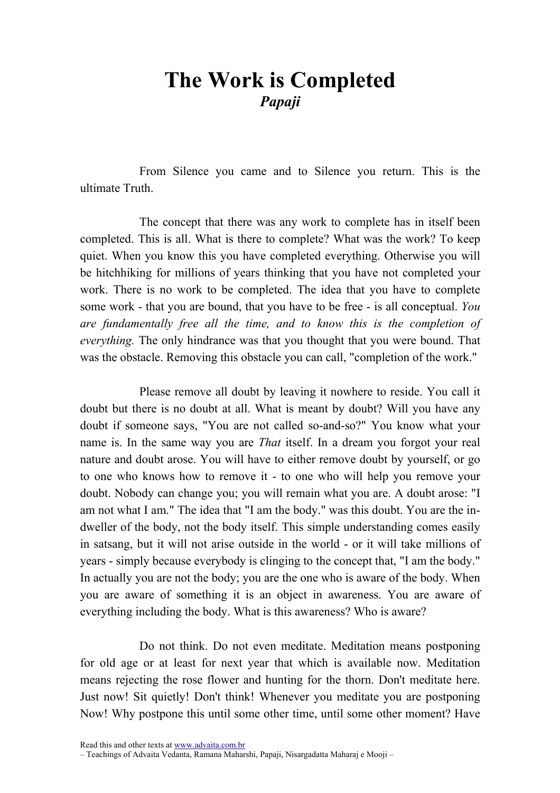## The Work is Completed Papaji

From Silence you came and to Silence you return. This is the ultimate Truth.

The concept that there was any work to complete has in itself been completed. This is all. What is there to complete? What was the work? To keep quiet. When you know this you have completed everything. Otherwise you will be hitchhiking for millions of years thinking that you have not completed your work. There is no work to be completed. The idea that you have to complete some work - that you are bound, that you have to be free - is all conceptual. You are fundamentally free all the time, and to know this is the completion of everything. The only hindrance was that you thought that you were bound. That was the obstacle. Removing this obstacle you can call, "completion of the work."

Please remove all doubt by leaving it nowhere to reside. You call it doubt but there is no doubt at all. What is meant by doubt? Will you have any doubt if someone says, "You are not called so-and-so?" You know what your name is. In the same way you are *That* itself. In a dream you forgot your real nature and doubt arose. You will have to either remove doubt by yourself, or go to one who knows how to remove it - to one who will help you remove your doubt. Nobody can change you; you will remain what you are. A doubt arose: "I am not what I am." The idea that "I am the body." was this doubt. You are the indweller of the body, not the body itself. This simple understanding comes easily in satsang, but it will not arise outside in the world - or it will take millions of years - simply because everybody is clinging to the concept that, "I am the body." In actually you are not the body; you are the one who is aware of the body. When you are aware of something it is an object in awareness. You are aware of everything including the body. What is this awareness? Who is aware?

Do not think. Do not even meditate. Meditation means postponing for old age or at least for next year that which is available now. Meditation means rejecting the rose flower and hunting for the thorn. Don't meditate here. Just now! Sit quietly! Don't think! Whenever you meditate you are postponing Now! Why postpone this until some other time, until some other moment? Have

Read this and other texts at www.advaita.com.br

<sup>–</sup> Teachings of Advaita Vedanta, Ramana Maharshi, Papaji, Nisargadatta Maharaj e Mooji –